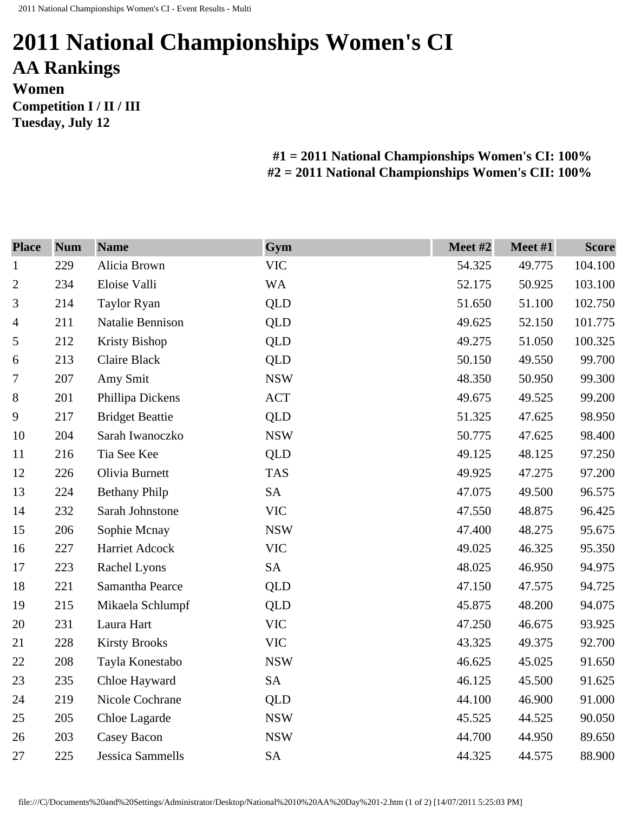## **2011 National Championships Women's CI AA Rankings Women Competition I / II / III**

**Tuesday, July 12** 

**#1 = 2011 National Championships Women's CI: 100% #2 = 2011 National Championships Women's CII: 100%** 

| <b>Place</b>   | <b>Num</b> | <b>Name</b>             | Gym        | Meet #2 | Meet #1 | <b>Score</b> |
|----------------|------------|-------------------------|------------|---------|---------|--------------|
| $\mathbf{1}$   | 229        | Alicia Brown            | <b>VIC</b> | 54.325  | 49.775  | 104.100      |
| $\mathbf{2}$   | 234        | Eloise Valli            | <b>WA</b>  | 52.175  | 50.925  | 103.100      |
| 3              | 214        | <b>Taylor Ryan</b>      | QLD        | 51.650  | 51.100  | 102.750      |
| $\overline{4}$ | 211        | Natalie Bennison        | <b>QLD</b> | 49.625  | 52.150  | 101.775      |
| 5              | 212        | Kristy Bishop           | <b>QLD</b> | 49.275  | 51.050  | 100.325      |
| 6              | 213        | Claire Black            | QLD        | 50.150  | 49.550  | 99.700       |
| 7              | 207        | Amy Smit                | <b>NSW</b> | 48.350  | 50.950  | 99.300       |
| 8              | 201        | Phillipa Dickens        | <b>ACT</b> | 49.675  | 49.525  | 99.200       |
| 9              | 217        | <b>Bridget Beattie</b>  | <b>QLD</b> | 51.325  | 47.625  | 98.950       |
| 10             | 204        | Sarah Iwanoczko         | <b>NSW</b> | 50.775  | 47.625  | 98.400       |
| 11             | 216        | Tia See Kee             | <b>QLD</b> | 49.125  | 48.125  | 97.250       |
| 12             | 226        | Olivia Burnett          | <b>TAS</b> | 49.925  | 47.275  | 97.200       |
| 13             | 224        | <b>Bethany Philp</b>    | <b>SA</b>  | 47.075  | 49.500  | 96.575       |
| 14             | 232        | Sarah Johnstone         | <b>VIC</b> | 47.550  | 48.875  | 96.425       |
| 15             | 206        | Sophie Mcnay            | <b>NSW</b> | 47.400  | 48.275  | 95.675       |
| 16             | 227        | Harriet Adcock          | <b>VIC</b> | 49.025  | 46.325  | 95.350       |
| 17             | 223        | Rachel Lyons            | <b>SA</b>  | 48.025  | 46.950  | 94.975       |
| 18             | 221        | Samantha Pearce         | <b>QLD</b> | 47.150  | 47.575  | 94.725       |
| 19             | 215        | Mikaela Schlumpf        | QLD        | 45.875  | 48.200  | 94.075       |
| 20             | 231        | Laura Hart              | <b>VIC</b> | 47.250  | 46.675  | 93.925       |
| 21             | 228        | <b>Kirsty Brooks</b>    | <b>VIC</b> | 43.325  | 49.375  | 92.700       |
| 22             | 208        | Tayla Konestabo         | <b>NSW</b> | 46.625  | 45.025  | 91.650       |
| 23             | 235        | Chloe Hayward           | <b>SA</b>  | 46.125  | 45.500  | 91.625       |
| 24             | 219        | Nicole Cochrane         | <b>QLD</b> | 44.100  | 46.900  | 91.000       |
| 25             | 205        | Chloe Lagarde           | <b>NSW</b> | 45.525  | 44.525  | 90.050       |
| 26             | 203        | Casey Bacon             | <b>NSW</b> | 44.700  | 44.950  | 89.650       |
| 27             | 225        | <b>Jessica Sammells</b> | <b>SA</b>  | 44.325  | 44.575  | 88.900       |